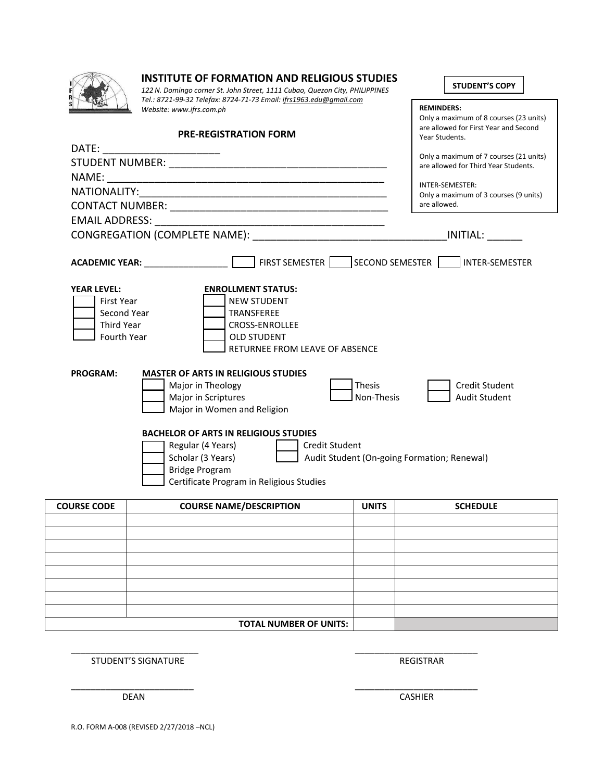| 4            |  |  |
|--------------|--|--|
| ×<br>F       |  |  |
| e.<br>ា<br>ទ |  |  |
|              |  |  |

### **INSTITUTE OF FORMATION AND RELIGIOUS STUDIES**

*122 N. Domingo corner St. John Street, 1111 Cubao, Quezon City, PHILIPPINES Tel.: 8721-99-32 Telefax: 8724-71-73 Email[: ifrs1963.edu@gmail.com](mailto:ifrs1963.edu@gmail.com) Website: www.ifrs.com.ph*

# **PRE-REGISTRATION FORM**

| <b>COURSE CODE</b>                                                                  | <b>COURSE NAME/DESCRIPTION</b>                                                                                                                                                       | <b>UNITS</b>                | <b>SCHEDULE</b>                                                                |
|-------------------------------------------------------------------------------------|--------------------------------------------------------------------------------------------------------------------------------------------------------------------------------------|-----------------------------|--------------------------------------------------------------------------------|
|                                                                                     | <b>BACHELOR OF ARTS IN RELIGIOUS STUDIES</b><br>Regular (4 Years)<br><b>Credit Student</b><br>Scholar (3 Years)<br><b>Bridge Program</b><br>Certificate Program in Religious Studies |                             | Audit Student (On-going Formation; Renewal)                                    |
|                                                                                     | Major in Theology<br>Major in Scriptures<br>Major in Women and Religion                                                                                                              | <b>Thesis</b><br>Non-Thesis | <b>Credit Student</b><br><b>Audit Student</b>                                  |
| <b>PROGRAM:</b>                                                                     | <b>MASTER OF ARTS IN RELIGIOUS STUDIES</b>                                                                                                                                           |                             |                                                                                |
| <b>YEAR LEVEL:</b><br>First Year<br>Second Year<br><b>Third Year</b><br>Fourth Year | <b>ENROLLMENT STATUS:</b><br><b>NEW STUDENT</b><br><b>TRANSFEREE</b><br><b>CROSS-ENROLLEE</b><br><b>OLD STUDENT</b><br>RETURNEE FROM LEAVE OF ABSENCE                                |                             |                                                                                |
|                                                                                     | ACADEMIC YEAR: __________________  _____                                                                                                                                             |                             | FIRST SEMESTER SECOND SEMESTER TINTER-SEMESTER                                 |
|                                                                                     |                                                                                                                                                                                      |                             |                                                                                |
|                                                                                     |                                                                                                                                                                                      |                             |                                                                                |
|                                                                                     |                                                                                                                                                                                      |                             | are allowed.                                                                   |
| <b>NATIONALITY:</b>                                                                 |                                                                                                                                                                                      |                             | INTER-SEMESTER:<br>Only a maximum of 3 courses (9 units)                       |
|                                                                                     |                                                                                                                                                                                      |                             |                                                                                |
|                                                                                     |                                                                                                                                                                                      |                             | Only a maximum of 7 courses (21 units)<br>are allowed for Third Year Students. |
|                                                                                     | DATE: ____________________                                                                                                                                                           |                             |                                                                                |

| <b>COURSE CODE</b> | <b>COURSE NAME/DESCRIPTION</b> | <b>UNITS</b> | <b>SCHEDULE</b> |
|--------------------|--------------------------------|--------------|-----------------|
|                    |                                |              |                 |
|                    |                                |              |                 |
|                    |                                |              |                 |
|                    |                                |              |                 |
|                    |                                |              |                 |
|                    |                                |              |                 |
|                    |                                |              |                 |
|                    |                                |              |                 |
|                    | <b>TOTAL NUMBER OF UNITS:</b>  |              |                 |

\_\_\_\_\_\_\_\_\_\_\_\_\_\_\_\_\_\_\_\_\_\_\_\_\_\_ \_\_\_\_\_\_\_\_\_\_\_\_\_\_\_\_\_\_\_\_\_\_\_\_\_

\_\_\_\_\_\_\_\_\_\_\_\_\_\_\_\_\_\_\_\_\_\_\_\_\_ \_\_\_\_\_\_\_\_\_\_\_\_\_\_\_\_\_\_\_\_\_\_\_\_\_

STUDENT'S SIGNATURE **REGISTRAR** 

 $\Gamma$ 

**STUDENT'S COPY**

Only a maximum of 8 courses (23 units) are allowed for First Year and Second

**REMINDERS:**

Year Students.

DEAN CASHIER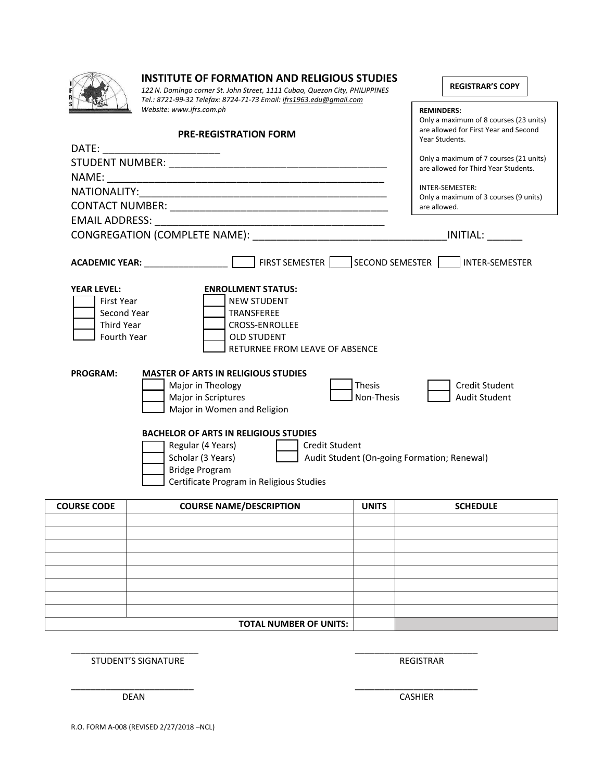| 4            |  |  |
|--------------|--|--|
| ×<br>F       |  |  |
| e.<br>ា<br>ទ |  |  |
|              |  |  |

### **INSTITUTE OF FORMATION AND RELIGIOUS STUDIES**

*122 N. Domingo corner St. John Street, 1111 Cubao, Quezon City, PHILIPPINES Tel.: 8721-99-32 Telefax: 8724-71-73 Email[: ifrs1963.edu@gmail.com](mailto:ifrs1963.edu@gmail.com) Website: www.ifrs.com.ph*

# **PRE-REGISTRATION FORM**

|                                                                                            | <b>PRE-REGISTRATION FORM</b>                                                                                                                                                         |                             | Year Students.                                        |
|--------------------------------------------------------------------------------------------|--------------------------------------------------------------------------------------------------------------------------------------------------------------------------------------|-----------------------------|-------------------------------------------------------|
|                                                                                            | DATE: _________________________                                                                                                                                                      |                             | Only a maximum of 7 courses (21 units)                |
|                                                                                            |                                                                                                                                                                                      |                             | are allowed for Third Year Students.                  |
|                                                                                            |                                                                                                                                                                                      |                             | INTER-SEMESTER:                                       |
|                                                                                            |                                                                                                                                                                                      |                             | Only a maximum of 3 courses (9 units)<br>are allowed. |
|                                                                                            |                                                                                                                                                                                      |                             |                                                       |
|                                                                                            |                                                                                                                                                                                      |                             | INITIAL:                                              |
|                                                                                            |                                                                                                                                                                                      |                             | FIRST SEMESTER SECOND SEMESTER INTER-SEMESTER         |
| <b>YEAR LEVEL:</b><br>First Year<br>Second Year<br><b>Third Year</b><br><b>Fourth Year</b> | <b>ENROLLMENT STATUS:</b><br><b>NEW STUDENT</b><br><b>TRANSFEREE</b><br><b>CROSS-ENROLLEE</b><br><b>OLD STUDENT</b><br>RETURNEE FROM LEAVE OF ABSENCE                                |                             |                                                       |
| <b>PROGRAM:</b>                                                                            | <b>MASTER OF ARTS IN RELIGIOUS STUDIES</b><br>Major in Theology<br>Major in Scriptures<br>Major in Women and Religion                                                                | <b>Thesis</b><br>Non-Thesis | <b>Credit Student</b><br><b>Audit Student</b>         |
|                                                                                            | <b>BACHELOR OF ARTS IN RELIGIOUS STUDIES</b><br>Regular (4 Years)<br><b>Credit Student</b><br>Scholar (3 Years)<br><b>Bridge Program</b><br>Certificate Program in Religious Studies |                             | Audit Student (On-going Formation; Renewal)           |
| <b>COURSE CODE</b>                                                                         | <b>COURSE NAME/DESCRIPTION</b>                                                                                                                                                       | <b>UNITS</b>                | <b>SCHEDULE</b>                                       |
|                                                                                            |                                                                                                                                                                                      |                             |                                                       |

| TOTAL NUMBER OF UNITS: |  |
|------------------------|--|

\_\_\_\_\_\_\_\_\_\_\_\_\_\_\_\_\_\_\_\_\_\_\_\_\_\_ \_\_\_\_\_\_\_\_\_\_\_\_\_\_\_\_\_\_\_\_\_\_\_\_\_

\_\_\_\_\_\_\_\_\_\_\_\_\_\_\_\_\_\_\_\_\_\_\_\_\_ \_\_\_\_\_\_\_\_\_\_\_\_\_\_\_\_\_\_\_\_\_\_\_\_\_

STUDENT'S SIGNATURE **REGISTRAR** 

 $\mathsf{r}$ 

**REGISTRAR'S COPY**

Only a maximum of 8 courses (23 units) are allowed for First Year and Second

 $\overline{\phantom{0}}$ 

**REMINDERS:**

DEAN CASHIER